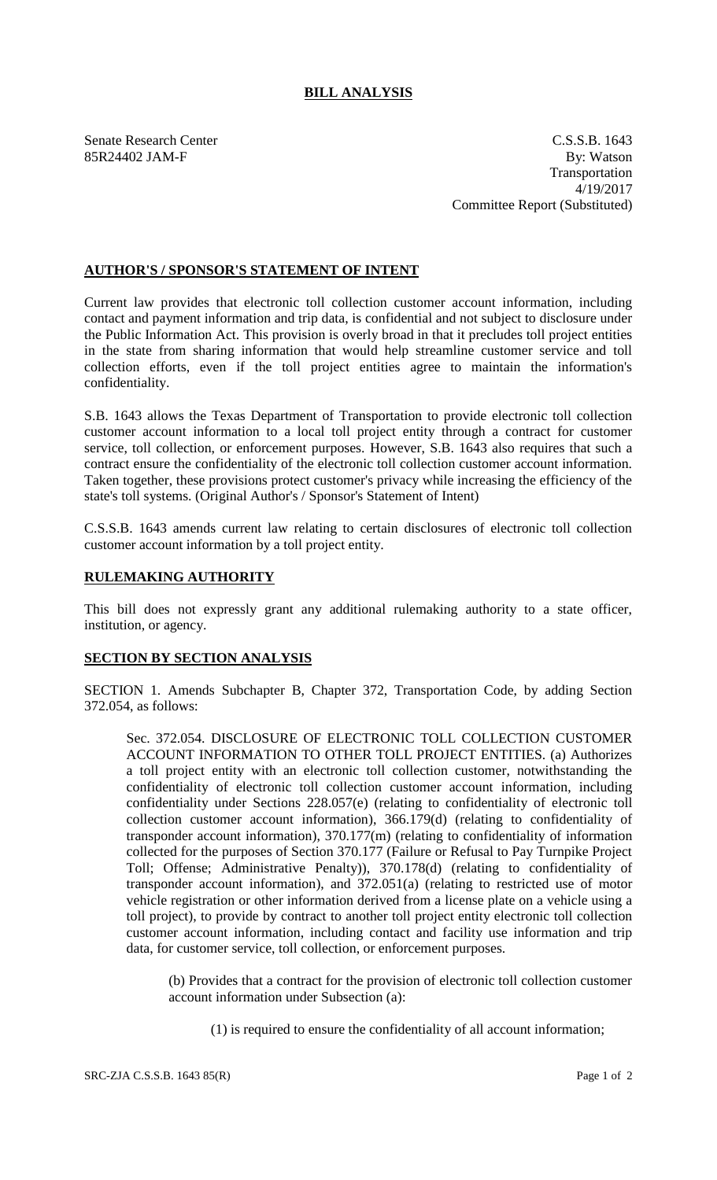## **BILL ANALYSIS**

Senate Research Center C.S.S.B. 1643 85R24402 JAM-F By: Watson Transportation 4/19/2017 Committee Report (Substituted)

## **AUTHOR'S / SPONSOR'S STATEMENT OF INTENT**

Current law provides that electronic toll collection customer account information, including contact and payment information and trip data, is confidential and not subject to disclosure under the Public Information Act. This provision is overly broad in that it precludes toll project entities in the state from sharing information that would help streamline customer service and toll collection efforts, even if the toll project entities agree to maintain the information's confidentiality.

S.B. 1643 allows the Texas Department of Transportation to provide electronic toll collection customer account information to a local toll project entity through a contract for customer service, toll collection, or enforcement purposes. However, S.B. 1643 also requires that such a contract ensure the confidentiality of the electronic toll collection customer account information. Taken together, these provisions protect customer's privacy while increasing the efficiency of the state's toll systems. (Original Author's / Sponsor's Statement of Intent)

C.S.S.B. 1643 amends current law relating to certain disclosures of electronic toll collection customer account information by a toll project entity.

## **RULEMAKING AUTHORITY**

This bill does not expressly grant any additional rulemaking authority to a state officer, institution, or agency.

## **SECTION BY SECTION ANALYSIS**

SECTION 1. Amends Subchapter B, Chapter 372, Transportation Code, by adding Section 372.054, as follows:

Sec. 372.054. DISCLOSURE OF ELECTRONIC TOLL COLLECTION CUSTOMER ACCOUNT INFORMATION TO OTHER TOLL PROJECT ENTITIES. (a) Authorizes a toll project entity with an electronic toll collection customer, notwithstanding the confidentiality of electronic toll collection customer account information, including confidentiality under Sections 228.057(e) (relating to confidentiality of electronic toll collection customer account information), 366.179(d) (relating to confidentiality of transponder account information), 370.177(m) (relating to confidentiality of information collected for the purposes of Section 370.177 (Failure or Refusal to Pay Turnpike Project Toll; Offense; Administrative Penalty)), 370.178(d) (relating to confidentiality of transponder account information), and 372.051(a) (relating to restricted use of motor vehicle registration or other information derived from a license plate on a vehicle using a toll project), to provide by contract to another toll project entity electronic toll collection customer account information, including contact and facility use information and trip data, for customer service, toll collection, or enforcement purposes.

(b) Provides that a contract for the provision of electronic toll collection customer account information under Subsection (a):

(1) is required to ensure the confidentiality of all account information;